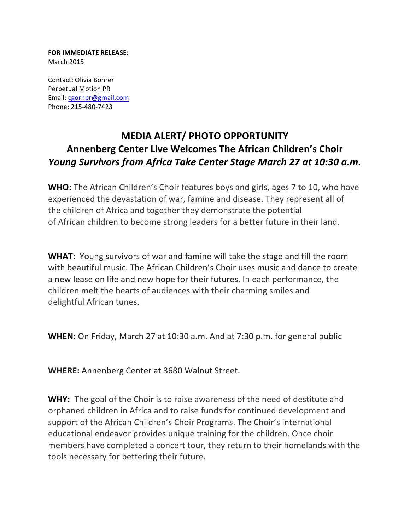**FOR IMMEDIATE RELEASE:** March 2015

Contact: Olivia Bohrer Perpetual Motion PR Email: cgornpr@gmail.com Phone: 215-480-7423

## **MEDIA ALERT/ PHOTO OPPORTUNITY Annenberg Center Live Welcomes The African Children's Choir** *Young Survivors from Africa Take Center Stage March 27 at 10:30 a.m.*

**WHO:** The African Children's Choir features boys and girls, ages 7 to 10, who have experienced the devastation of war, famine and disease. They represent all of the children of Africa and together they demonstrate the potential of African children to become strong leaders for a better future in their land.

**WHAT:** Young survivors of war and famine will take the stage and fill the room with beautiful music. The African Children's Choir uses music and dance to create a new lease on life and new hope for their futures. In each performance, the children melt the hearts of audiences with their charming smiles and delightful African tunes.

**WHEN:** On Friday, March 27 at 10:30 a.m. And at 7:30 p.m. for general public

**WHERE:** Annenberg Center at 3680 Walnut Street.

**WHY:** The goal of the Choir is to raise awareness of the need of destitute and orphaned children in Africa and to raise funds for continued development and support of the African Children's Choir Programs. The Choir's international educational endeavor provides unique training for the children. Once choir members have completed a concert tour, they return to their homelands with the tools necessary for bettering their future.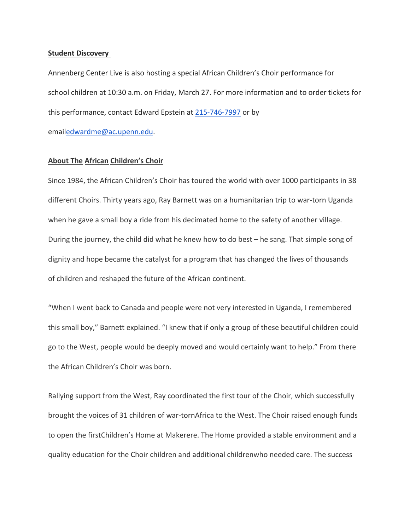## **Student Discovery**

Annenberg Center Live is also hosting a special African Children's Choir performance for school children at 10:30 a.m. on Friday, March 27. For more information and to order tickets for this performance, contact Edward Epstein at 215-746-7997 or by

emailedwardme@ac.upenn.edu.

## **About The African Children's Choir**

Since 1984, the African Children's Choir has toured the world with over 1000 participants in 38 different Choirs. Thirty years ago, Ray Barnett was on a humanitarian trip to war-torn Uganda when he gave a small boy a ride from his decimated home to the safety of another village. During the journey, the child did what he knew how to do best  $-$  he sang. That simple song of dignity and hope became the catalyst for a program that has changed the lives of thousands of children and reshaped the future of the African continent.

"When I went back to Canada and people were not very interested in Uganda, I remembered this small boy," Barnett explained. "I knew that if only a group of these beautiful children could go to the West, people would be deeply moved and would certainly want to help." From there the African Children's Choir was born.

Rallying support from the West, Ray coordinated the first tour of the Choir, which successfully brought the voices of 31 children of war-tornAfrica to the West. The Choir raised enough funds to open the firstChildren's Home at Makerere. The Home provided a stable environment and a quality education for the Choir children and additional childrenwho needed care. The success